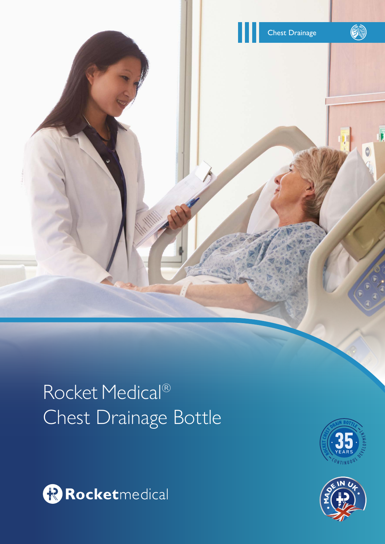

# Rocket Medical® Chest Drainage Bottle





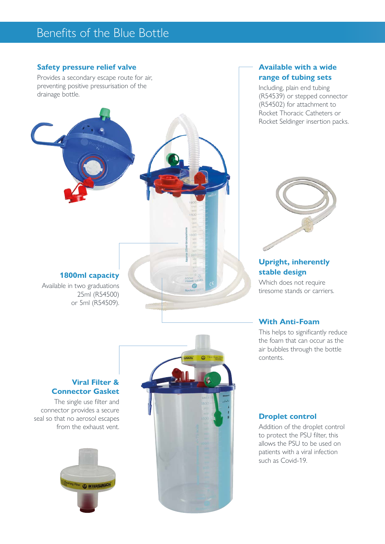# Benefits of the Blue Bottle

#### **Safety pressure relief valve**

Provides a secondary escape route for air, preventing positive pressurisation of the drainage bottle.



#### **Available with a wide range of tubing sets**

Including, plain end tubing (R54539) or stepped connector (R54502) for attachment to Rocket Thoracic Catheters or Rocket Seldinger insertion packs.



#### **Upright, inherently stable design**

Which does not require tiresome stands or carriers.

#### **With Anti-Foam**

This helps to significantly reduce the foam that can occur as the air bubbles through the bottle contents.

#### **Viral Filter & Connector Gasket**

The single use filter and connector provides a secure seal so that no aerosol escapes from the exhaust vent.





#### **Droplet control**

Addition of the droplet control to protect the PSU filter, this allows the PSU to be used on patients with a viral infection such as Covid-19.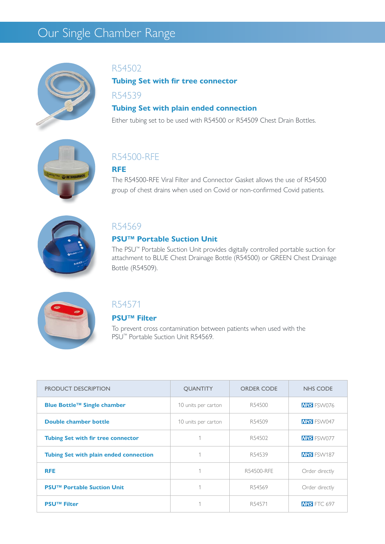# Our Single Chamber Range



#### R54502

**Tubing Set with fir tree connector**

R54539

#### **Tubing Set with plain ended connection**

Either tubing set to be used with R54500 or R54509 Chest Drain Bottles.



### R54500-RFE

#### **RFE**

The R54500-RFE Viral Filter and Connector Gasket allows the use of R54500 group of chest drains when used on Covid or non-confirmed Covid patients.



#### R54569

#### **PSU™ Portable Suction Unit**

The PSU™ Portable Suction Unit provides digitally controlled portable suction for attachment to BLUE Chest Drainage Bottle (R54500) or GREEN Chest Drainage Bottle (R54509).



### R54571

#### **PSU™ Filter**

To prevent cross contamination between patients when used with the PSU<sup>™</sup> Portable Suction Unit R54569.

| PRODUCT DESCRIPTION                           | <b>OUANTITY</b>     | <b>ORDER CODE</b> | <b>NHS CODE</b>    |
|-----------------------------------------------|---------------------|-------------------|--------------------|
| Blue Bottle™ Single chamber                   | 10 units per carton | R54500            | <b>NHS</b> FSW076  |
| Double chamber bottle                         | 10 units per carton | R54509            | <b>NHS</b> FSW047  |
| <b>Tubing Set with fir tree connector</b>     |                     | R54502            | <b>NHS</b> FSW077  |
| <b>Tubing Set with plain ended connection</b> |                     | R54539            | <b>NHS</b> FSW187  |
| <b>RFE</b>                                    |                     | R54500-RFE        | Order directly     |
| <b>PSU™ Portable Suction Unit</b>             |                     | R54569            | Order directly     |
| <b>PSU™ Filter</b>                            |                     | R54571            | <b>NHS</b> FTC 697 |